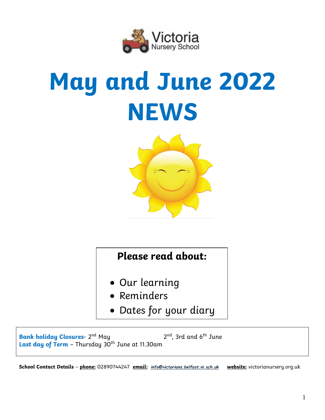

# **May and June 2022 NEWS**



# **Please read about:**

- Our learning
- Reminders
- Dates for your diary

**Bank holiday Closures**- 2  $2^{nd}$ , 3rd and 6<sup>th</sup> June Last day of Term - Thursday 30<sup>th</sup> June at 11.30am

**School Contact Details** – **phone:** 02890744247 **email:** *[info@victorians.belfast.ni.sch.uk](mailto:info@victorians.belfast.ni.sch.uk)* **website:** victorianursery.org.uk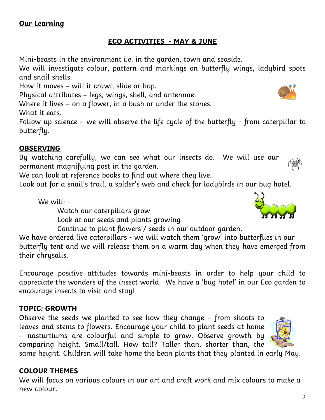# **ECO ACTIVITIES - MAY & JUNE**

Mini-beasts in the environment i.e. in the garden, town and seaside.

We will investigate colour, pattern and markings on butterfly wings, ladybird spots and snail shells.

How it moves – will it crawl, slide or hop.

Physical attributes – legs, wings, shell, and antennae.

Where it lives – on a flower, in a bush or under the stones.

What it eats.

Follow up science – we will observe the life cycle of the butterfly - from caterpillar to butterfly.

## **OBSERVING**

By watching carefully, we can see what our insects do. We will use our permanent magnifying post in the garden.

We can look at reference books to find out where they live.

Look out for a snail's trail, a spider's web and check for ladybirds in our bug hotel.

We will: -

Watch our caterpillars grow

- Look at our seeds and plants growing
- Continue to plant flowers / seeds in our outdoor garden.

We have ordered live caterpillars - we will watch them 'grow' into butterflies in our butterfly tent and we will release them on a warm day when they have emerged from their chrysalis.

Encourage positive attitudes towards mini-beasts in order to help your child to appreciate the wonders of the insect world. We have a 'bug hotel' in our Eco garden to encourage insects to visit and stay!

# **TOPIC: GROWTH**

Observe the seeds we planted to see how they change – from shoots to leaves and stems to flowers. Encourage your child to plant seeds at home – nasturtiums are colourful and simple to grow. Observe growth by comparing height. Small/tall. How tall? Taller than, shorter than, the

same height. Children will take home the bean plants that they planted in early May.

# **COLOUR THEMES**

We will focus on various colours in our art and craft work and mix colours to make a new colour.





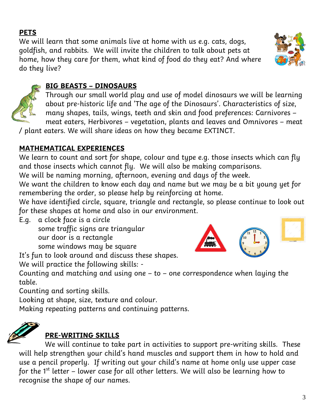# **PETS**

We will learn that some animals live at home with us e.g. cats, dogs, goldfish, and rabbits. We will invite the children to talk about pets at home, how they care for them, what kind of food do they eat? And where do they live?



Through our small world play and use of model dinosaurs we will be learning about pre-historic life and 'The age of the Dinosaurs'. Characteristics of size, many shapes, tails, wings, teeth and skin and food preferences: Carnivores – meat eaters, Herbivores – vegetation, plants and leaves and Omnivores – meat

/ plant eaters. We will share ideas on how they became EXTINCT.

# **MATHEMATICAL EXPERIENCES**

We learn to count and sort for shape, colour and type e.g. those insects which can fly and those insects which cannot fly. We will also be making comparisons.

We will be naming morning, afternoon, evening and days of the week.

We want the children to know each day and name but we may be a bit young yet for remembering the order, so please help by reinforcing at home.

We have identified circle, square, triangle and rectangle, so please continue to look out for these shapes at home and also in our environment.

E.g. a clock face is a circle some traffic signs are triangular our door is a rectangle

some windows may be square

It's fun to look around and discuss these shapes.

We will practice the following skills: -

Counting and matching and using one – to – one correspondence when laying the table.

Counting and sorting skills.

Looking at shape, size, texture and colour.

Making repeating patterns and continuing patterns.



# **PRE-WRITING SKILLS**

We will continue to take part in activities to support pre-writing skills. These will help strengthen your child's hand muscles and support them in how to hold and use a pencil properly. If writing out your child's name at home only use upper case for the  $1<sup>st</sup>$  letter – lower case for all other letters. We will also be learning how to recognise the shape of our names.



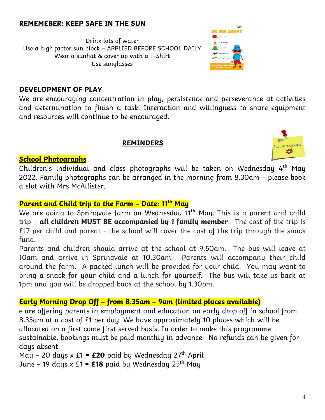#### **REMEMEBER: KEEP SAFE IN THE SUN**

Drink lots of water Use a high factor sun block – APPLIED BEFORE SCHOOL DAILY Wear a sunhat & cover up with a T-Shirt Use sunglasses



#### **DEVELOPMENT OF PLAY**

We are encouraging concentration in play, persistence and perseverance at activities and determination to finish a task. Interaction and willingness to share equipment and resources will continue to be encouraged.

#### **REMINDERS**



#### **School Photographs**

Children's individual and class photographs will be taken on Wednesday 4<sup>th</sup> May 2022. Family photographs can be arranged in the morning from 8.30am – please book a slot with Mrs McAllister.

## **Parent and Child trip to the Farm – Date: 11th May**

We are going to Springvale farm on Wednesdau 11<sup>th</sup> Mau. This is a parent and child trip – **all children MUST BE accompanied by 1 family member**. The cost of the trip is £17 per child and parent - the school will cover the cost of the trip through the snack fund.

Parents and children should arrive at the school at 9.50am. The bus will leave at 10am and arrive in Springvale at 10.30am. Parents will accompany their child around the farm. A packed lunch will be provided for your child. You may want to bring a snack for your child and a lunch for yourself. The bus will take us back at 1pm and you will be dropped back at the school by 1.30pm.

# **Early Morning Drop Off – from 8.35am – 9am (limited places available)**

e are offering parents in employment and education an early drop off in school from 8.35am at a cost of £1 per day. We have approximately 10 places which will be allocated on a first come first served basis. In order to make this programme sustainable, bookings must be paid monthly in advance. No refunds can be given for days absent.

May – 20 days  $x \n\mathbf{f} = \mathbf{f} \cdot \mathbf{f}$  paid by Wednesday  $27^{\text{th}}$  April

June – 19 days x £1 =  $£18$  paid by Wednesday 25<sup>th</sup> May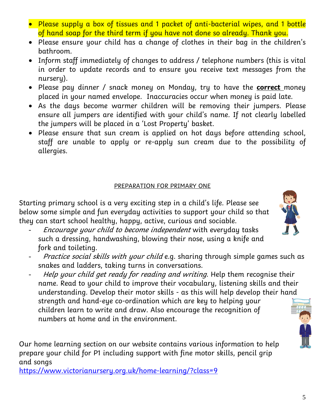- Please supply a box of tissues and 1 packet of anti-bacterial wipes, and 1 bottle of hand soap for the third term if you have not done so already. Thank you.
- Please ensure your child has a change of clothes in their bag in the children's bathroom.
- Inform staff immediately of changes to address / telephone numbers (this is vital in order to update records and to ensure you receive text messages from the nursery).
- Please pay dinner / snack money on Monday, try to have the **correct** money placed in your named envelope. Inaccuracies occur when money is paid late.
- As the days become warmer children will be removing their jumpers. Please ensure all jumpers are identified with your child's name. If not clearly labelled the jumpers will be placed in a 'Lost Property' basket.
- Please ensure that sun cream is applied on hot days before attending school, staff are unable to apply or re-apply sun cream due to the possibility of allergies.

# PREPARATION FOR PRIMARY ONE

Starting primary school is a very exciting step in a child's life. Please see below some simple and fun everyday activities to support your child so that they can start school healthy, happy, active, curious and sociable.

- Encourage your child to become independent with everyday tasks such a dressing, handwashing, blowing their nose, using a knife and fork and toileting.
- Practice social skills with your child e.g. sharing through simple games such as snakes and ladders, taking turns in conversations.
- Help your child get ready for reading and writing. Help them recognise their name. Read to your child to improve their vocabulary, listening skills and their understanding. Develop their motor skills - as this will help develop their hand strength and hand-eye co-ordination which are key to helping your children learn to write and draw. Also encourage the recognition of numbers at home and in the environment.

Our home learning section on our website contains various information to help prepare your child for P1 including support with fine motor skills, pencil grip and songs

<https://www.victorianursery.org.uk/home-learning/?class=9>



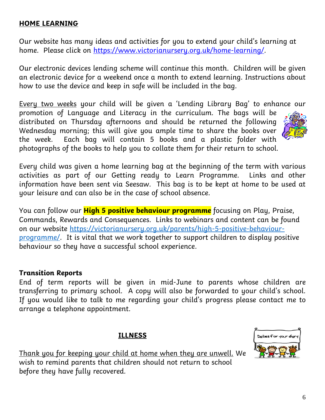#### **HOME LEARNING**

Our website has many ideas and activities for you to extend your child's learning at home. Please click on [https://www.victorianursery.org.uk/home-learning/.](https://www.victorianursery.org.uk/home-learning/)

Our electronic devices lending scheme will continue this month. Children will be given an electronic device for a weekend once a month to extend learning. Instructions about how to use the device and keep in safe will be included in the bag.

Every two weeks your child will be given a 'Lending Library Bag' to enhance our promotion of Language and Literacy in the curriculum. The bags will be distributed on Thursday afternoons and should be returned the following Wednesday morning; this will give you ample time to share the books over the week. Each bag will contain 5 books and a plastic folder with

Every child was given a home learning bag at the beginning of the term with various activities as part of our Getting ready to Learn Programme. Links and other information have been sent via Seesaw. This bag is to be kept at home to be used at your leisure and can also be in the case of school absence.

You can follow our **High 5 positive behaviour programme** focusing on Play, Praise, Commands, Rewards and Consequences. Links to webinars and content can be found on our website [https://victorianursery.org.uk/parents/high-5-positive-behaviour](https://victorianursery.org.uk/parents/high-5-positive-behaviour-programme/)[programme/.](https://victorianursery.org.uk/parents/high-5-positive-behaviour-programme/) It is vital that we work together to support children to display positive behaviour so they have a successful school experience.

#### **Transition Reports**

End of term reports will be given in mid-June to parents whose children are transferring to primary school. A copy will also be forwarded to your child's school. If you would like to talk to me regarding your child's progress please contact me to arrange a telephone appointment.

#### **ILLNESS**

Thank you for keeping your child at home when they are unwell. We wish to remind parents that children should not return to school before they have fully recovered.







photographs of the books to help you to collate them for their return to school.